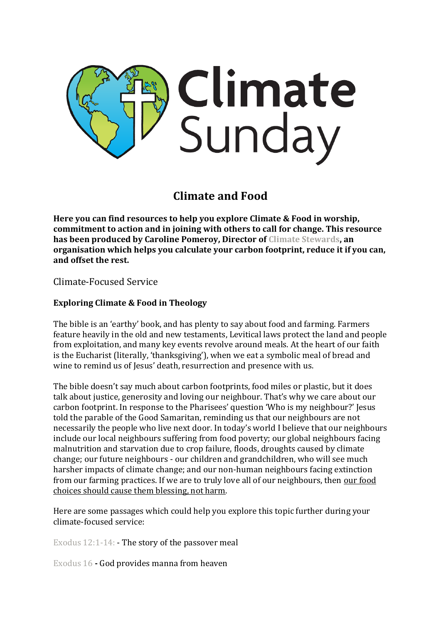

# **Climate and Food**

**Here you can find resources to help you explore Climate & Food in worship, commitment to action and in joining with others to call for change. This resource has been produced by Caroline Pomeroy, Director of [Climate Stewards,](https://www.climatestewards.org/) an organisation which helps you calculate your carbon footprint, reduce it if you can, and offset the rest.**

Climate-Focused Service

## **Exploring Climate & Food in Theology**

The bible is an 'earthy' book, and has plenty to say about food and farming. Farmers feature heavily in the old and new testaments, Levitical laws protect the land and people from exploitation, and many key events revolve around meals. At the heart of our faith is the Eucharist (literally, 'thanksgiving'), when we eat a symbolic meal of bread and wine to remind us of Jesus' death, resurrection and presence with us.

The bible doesn't say much about carbon footprints, food miles or plastic, but it does talk about justice, generosity and loving our neighbour. That's why we care about our carbon footprint. In response to the Pharisees' question 'Who is my neighbour?' Jesus told the parable of the Good Samaritan, reminding us that our neighbours are not necessarily the people who live next door. In today's world I believe that our neighbours include our local neighbours suffering from food poverty; our global neighbours facing malnutrition and starvation due to crop failure, floods, droughts caused by climate change; our future neighbours - our children and grandchildren, who will see much harsher impacts of climate change; and our non-human neighbours facing extinction from our farming practices. If we are to truly love all of our neighbours, then our food choices should cause them blessing, not harm.

Here are some passages which could help you explore this topic further during your climate-focused service:

[Exodus 12:1-14:](https://www.biblegateway.com/passage/?search=Exodus%2012:1-14&version=NIV) - The story of the passover meal

[Exodus 16](https://www.biblegateway.com/passage/?search=Exodus+16&version=ESV) **-** God provides manna from heaven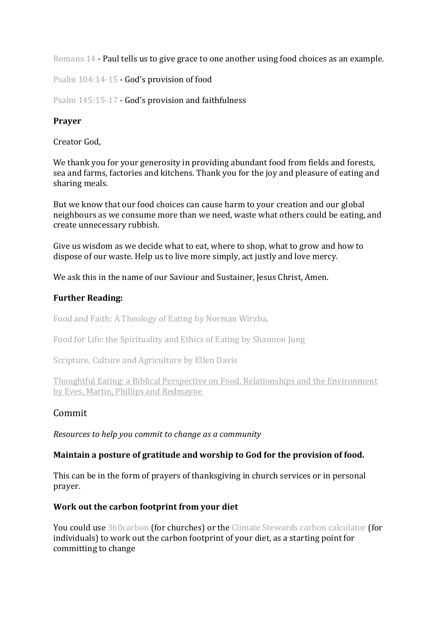[Romans 14](https://www.biblegateway.com/passage/?search=Romans+14&version=ESV) - Paul tells us to give grace to one another using food choices as an example.

[Psalm 104:14-15](https://www.biblegateway.com/passage/?search=Psalm+104%3A14-15&version=ESV) - God's provision of food

[Psalm 145:15-17](https://www.biblegateway.com/passage/?search=Psalm+145%3A15-17&version=ESV) - God's provision and faithfulness

#### **Prayer**

Creator God,

We thank you for your generosity in providing abundant food from fields and forests, sea and farms, factories and kitchens. Thank you for the joy and pleasure of eating and sharing meals.

But we know that our food choices can cause harm to your creation and our global neighbours as we consume more than we need, waste what others could be eating, and create unnecessary rubbish.

Give us wisdom as we decide what to eat, where to shop, what to grow and how to dispose of our waste. Help us to live more simply, act justly and love mercy.

We ask this in the name of our Saviour and Sustainer, Jesus Christ, Amen.

## **Further Reading:**

[Food and Faith: A Theology of Eating by Norman Wirzba,](https://uk.bookshop.org/books/food-and-faith-a-theology-of-eating/9781108455961)

[Food for Life: the Spirituality and Ethics of Eating by Shannon Jung](https://www.fortresspress.com/store/product/9780800636425/Food-for-Life-The-Spirituality-and-Ethics-of-Eating)

[Scripture, Culture and Agriculture by Ellen Davis](https://uk.bookshop.org/books/scripture-culture-and-agriculture-an-agrarian-reading-of-the-bible/9780521732239) 

[Thoughtful Eating: a Biblical Perspective on Food, Relationships and the Environment](https://www.jubilee-centre.org/thoughtful-eating-book)  [by Eves, Martin, Phillips and Redmayne](https://www.jubilee-centre.org/thoughtful-eating-book)

## Commit

*Resources to help you commit to change as a community*

#### **Maintain a posture of gratitude and worship to God for the provision of food.**

This can be in the form of prayers of thanksgiving in church services or in personal prayer.

## **Work out the carbon footprint from your diet**

You could use [360carbon](https://360carbon.org/) (for churches) or the [Climate Stewards carbon calculator](http://www.climatestewards.org/offset) (for individuals) to work out the carbon footprint of your diet, as a starting point for committing to change